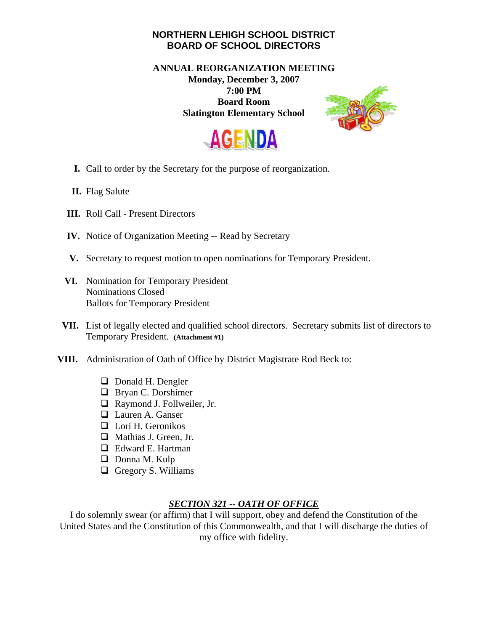## **NORTHERN LEHIGH SCHOOL DISTRICT BOARD OF SCHOOL DIRECTORS**

## **ANNUAL REORGANIZATION MEETING Monday, December 3, 2007 7:00 PM Board Room Slatington Elementary School**





- **I.** Call to order by the Secretary for the purpose of reorganization.
- **II.** Flag Salute
- **III.** Roll Call Present Directors
- **IV.** Notice of Organization Meeting -- Read by Secretary
- **V.** Secretary to request motion to open nominations for Temporary President.
- **VI.** Nomination for Temporary President Nominations Closed Ballots for Temporary President
- **VII.** List of legally elected and qualified school directors. Secretary submits list of directors to Temporary President. **(Attachment #1)**
- **VIII.** Administration of Oath of Office by District Magistrate Rod Beck to:
	- **D** Donald H. Dengler
	- **D** Bryan C. Dorshimer
	- □ Raymond J. Follweiler, Jr.
	- □ Lauren A. Ganser
	- $\Box$  Lori H. Geronikos
	- Mathias J. Green, Jr.
	- □ Edward E. Hartman
	- $\Box$  Donna M. Kulp
	- $\Box$  Gregory S. Williams

## *SECTION 321 -- OATH OF OFFICE*

I do solemnly swear (or affirm) that I will support, obey and defend the Constitution of the United States and the Constitution of this Commonwealth, and that I will discharge the duties of my office with fidelity.